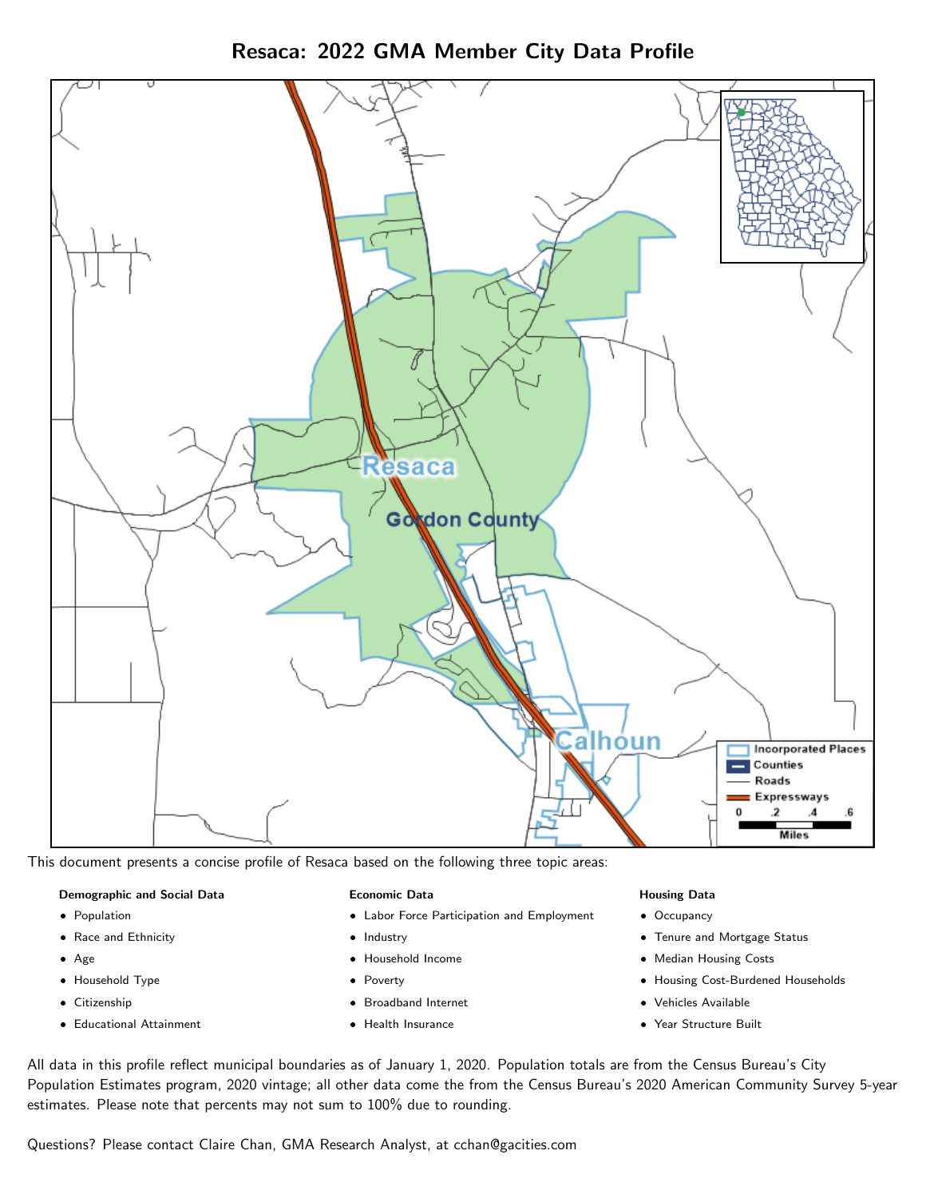Resaca: 2022 GMA Member City Data Profile



This document presents a concise profile of Resaca based on the following three topic areas:

### Demographic and Social Data

- **•** Population
- Race and Ethnicity
- Age
- Household Type
- **Citizenship**
- Educational Attainment

### Economic Data

- Labor Force Participation and Employment
- Industry
- Household Income
- Poverty
- Broadband Internet
- Health Insurance

### Housing Data

- Occupancy
- Tenure and Mortgage Status
- Median Housing Costs
- Housing Cost-Burdened Households
- Vehicles Available
- Year Structure Built

All data in this profile reflect municipal boundaries as of January 1, 2020. Population totals are from the Census Bureau's City Population Estimates program, 2020 vintage; all other data come the from the Census Bureau's 2020 American Community Survey 5-year estimates. Please note that percents may not sum to 100% due to rounding.

Questions? Please contact Claire Chan, GMA Research Analyst, at [cchan@gacities.com.](mailto:cchan@gacities.com)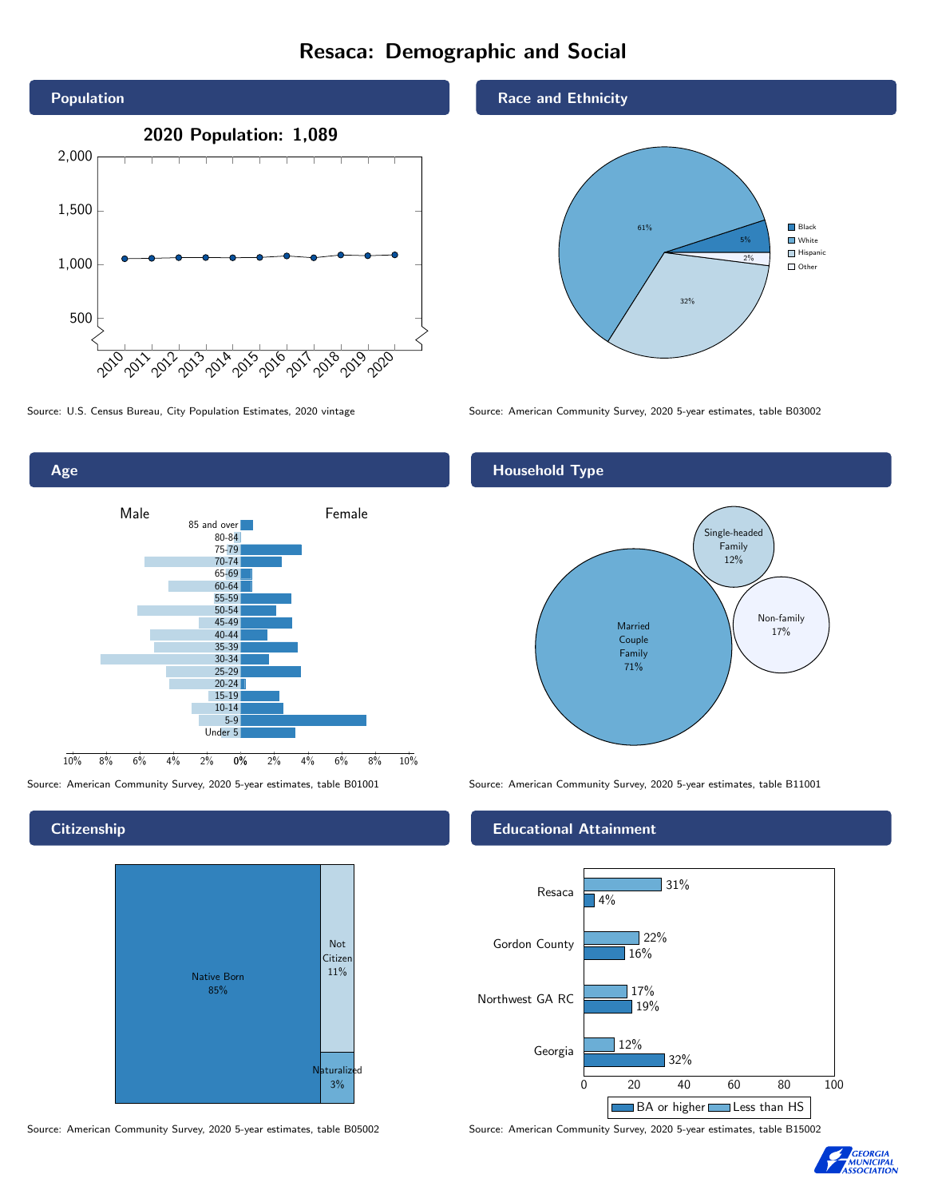## Resaca: Demographic and Social



Age



### **Citizenship**



Source: American Community Survey, 2020 5-year estimates, table B05002 Source: American Community Survey, 2020 5-year estimates, table B15002

### Race and Ethnicity



Source: U.S. Census Bureau, City Population Estimates, 2020 vintage Source: American Community Survey, 2020 5-year estimates, table B03002

### Household Type



Source: American Community Survey, 2020 5-year estimates, table B01001 Source: American Community Survey, 2020 5-year estimates, table B11001

### Educational Attainment



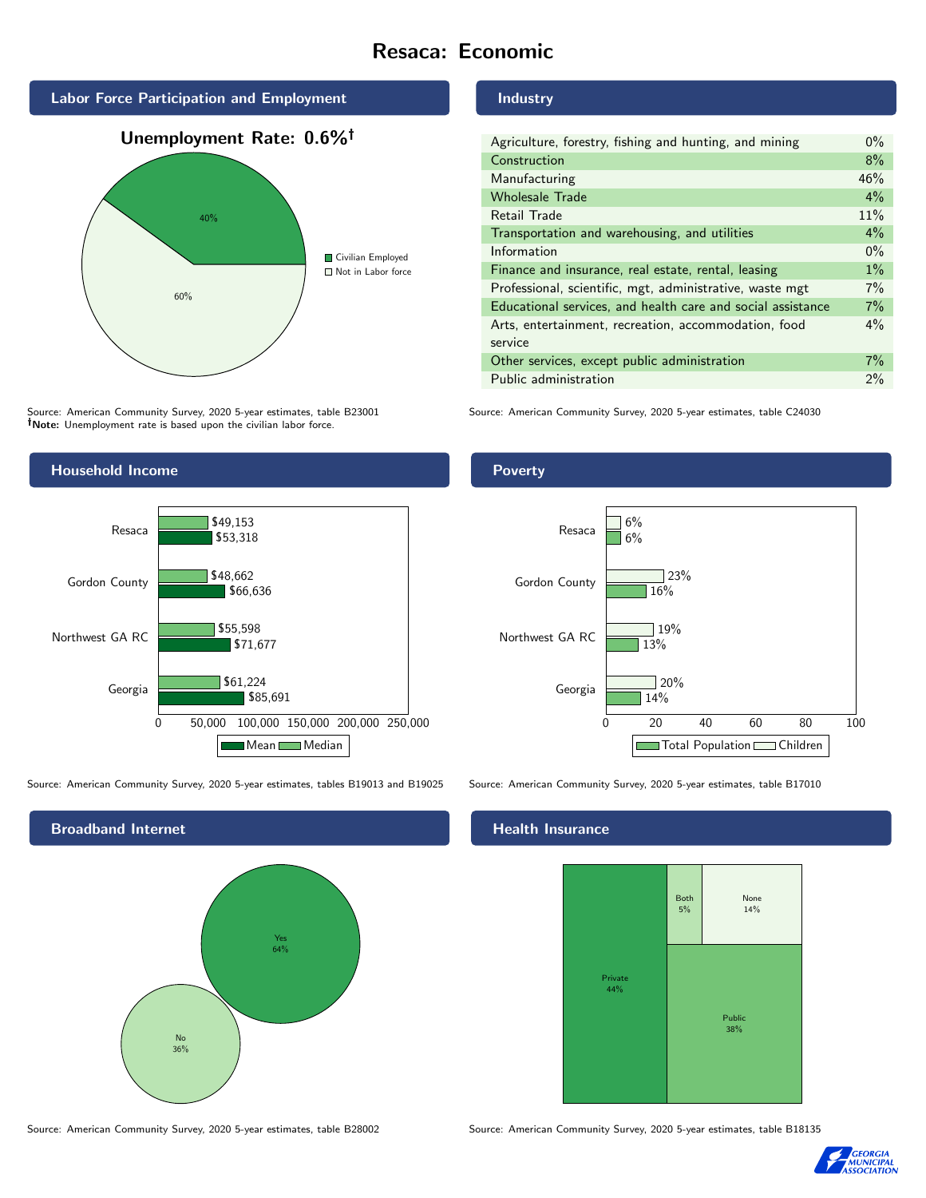### Resaca: Economic



Source: American Community Survey, 2020 5-year estimates, table B23001 Note: Unemployment rate is based upon the civilian labor force.

# Agriculture, forestry, fishing and hunting, and mining 0%

Industry

| Construction                                                | 8%    |
|-------------------------------------------------------------|-------|
| Manufacturing                                               | 46%   |
| <b>Wholesale Trade</b>                                      | 4%    |
| Retail Trade                                                | 11%   |
| Transportation and warehousing, and utilities               | 4%    |
| Information                                                 | $0\%$ |
| Finance and insurance, real estate, rental, leasing         | $1\%$ |
| Professional, scientific, mgt, administrative, waste mgt    | 7%    |
| Educational services, and health care and social assistance | 7%    |
| Arts, entertainment, recreation, accommodation, food        | $4\%$ |
| service                                                     |       |
| Other services, except public administration                | $7\%$ |
| Public administration                                       | $2\%$ |

Source: American Community Survey, 2020 5-year estimates, table C24030



Source: American Community Survey, 2020 5-year estimates, tables B19013 and B19025 Source: American Community Survey, 2020 5-year estimates, table B17010



### Health Insurance



Source: American Community Survey, 2020 5-year estimates, table B28002 Source: American Community Survey, 2020 5-year estimates, table B18135



### Poverty